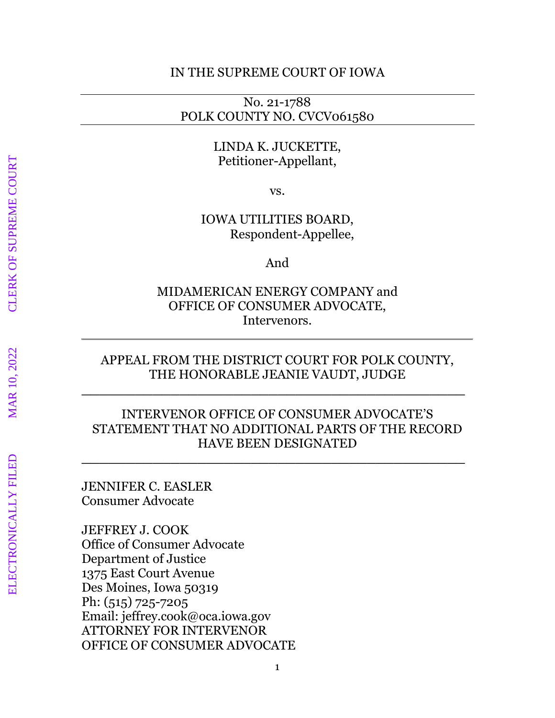## IN THE SUPREME COURT OF IOWA

No. 21-1788 POLK COUNTY NO. CVCV061580

## LINDA K. JUCKETTE, Petitioner-Appellant,

vs.

IOWA UTILITIES BOARD, Respondent-Appellee,

And

MIDAMERICAN ENERGY COMPANY and OFFICE OF CONSUMER ADVOCATE, Intervenors.

## APPEAL FROM THE DISTRICT COURT FOR POLK COUNTY, THE HONORABLE JEANIE VAUDT, JUDGE

**\_\_\_\_\_\_\_\_\_\_\_\_\_\_\_\_\_\_\_\_\_\_\_\_\_\_\_\_\_\_\_\_\_\_\_\_\_\_\_\_\_\_\_**

## INTERVENOR OFFICE OF CONSUMER ADVOCATE'S STATEMENT THAT NO ADDITIONAL PARTS OF THE RECORD HAVE BEEN DESIGNATED

**\_\_\_\_\_\_\_\_\_\_\_\_\_\_\_\_\_\_\_\_\_\_\_\_\_\_\_\_\_\_\_\_\_\_\_\_\_\_\_\_\_\_\_**

JENNIFER C. EASLER Consumer Advocate

JEFFREY J. COOK Office of Consumer Advocate Department of Justice 1375 East Court Avenue Des Moines, Iowa 50319 Ph: (515) 725-7205 Email: jeffrey.cook@oca.iowa.gov ATTORNEY FOR INTERVENOR OFFICE OF CONSUMER ADVOCATE